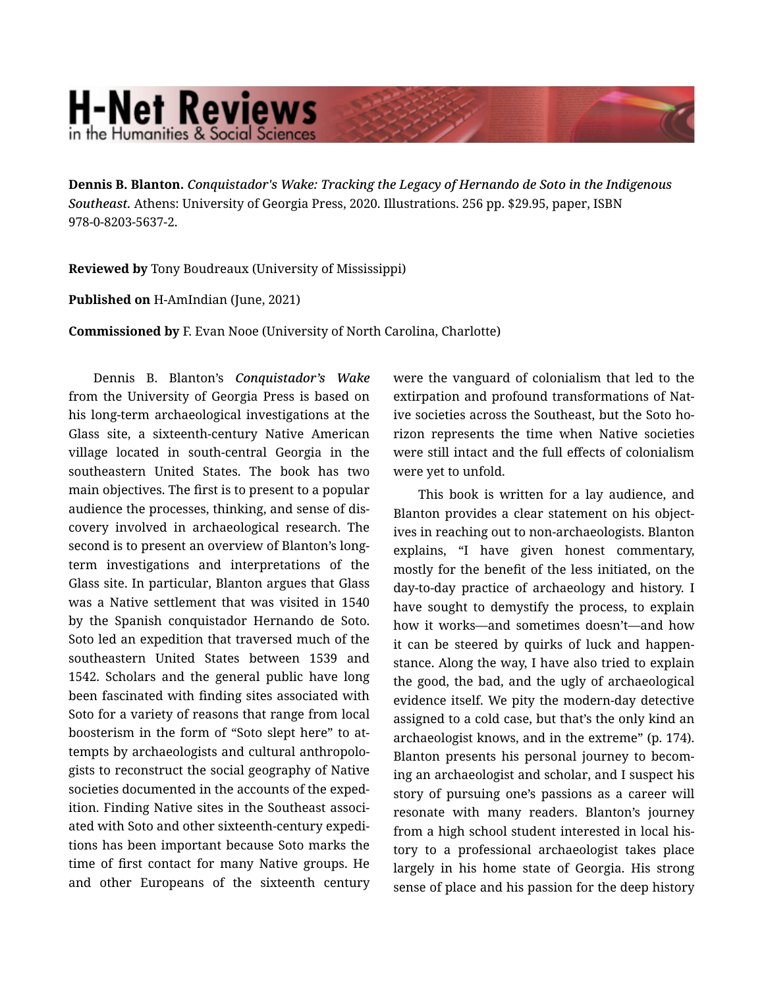## **H-Net Reviews** in the Humanities & Social Scienc

Dennis B. Blanton. *Conquistador's Wake: Tracking the Legacy of Hernando de Soto in the Indigenous Southeast.* Athens: University of Georgia Press, 2020. Illustrations. 256 pp. \$29.95, paper, ISBN 978-0-8203-5637-2.

Reviewed by Tony Boudreaux (University of Mississippi)

Published on H-AmIndian (June, 2021)

Commissioned by F. Evan Nooe (University of North Carolina, Charlotte)

Dennis B. Blanton's *Conquistador's Wake* from the University of Georgia Press is based on his long-term archaeological investigations at the Glass site, a sixteenth-century Native American village located in south-central Georgia in the southeastern United States. The book has two main objectives. The first is to present to a popular audience the processes, thinking, and sense of dis‐ covery involved in archaeological research. The second is to present an overview of Blanton's longterm investigations and interpretations of the Glass site. In particular, Blanton argues that Glass was a Native settlement that was visited in 1540 by the Spanish conquistador Hernando de Soto. Soto led an expedition that traversed much of the southeastern United States between 1539 and 1542. Scholars and the general public have long been fascinated with finding sites associated with Soto for a variety of reasons that range from local boosterism in the form of "Soto slept here" to at‐ tempts by archaeologists and cultural anthropolo‐ gists to reconstruct the social geography of Native societies documented in the accounts of the exped‐ ition. Finding Native sites in the Southeast associ‐ ated with Soto and other sixteenth-century expedi‐ tions has been important because Soto marks the time of first contact for many Native groups. He and other Europeans of the sixteenth century

were the vanguard of colonialism that led to the extirpation and profound transformations of Nat‐ ive societies across the Southeast, but the Soto ho‐ rizon represents the time when Native societies were still intact and the full effects of colonialism were yet to unfold.

This book is written for a lay audience, and Blanton provides a clear statement on his object‐ ives in reaching out to non-archaeologists. Blanton explains, "I have given honest commentary, mostly for the benefit of the less initiated, on the day-to-day practice of archaeology and history. I have sought to demystify the process, to explain how it works—and sometimes doesn't—and how it can be steered by quirks of luck and happen‐ stance. Along the way, I have also tried to explain the good, the bad, and the ugly of archaeological evidence itself. We pity the modern-day detective assigned to a cold case, but that's the only kind an archaeologist knows, and in the extreme" (p. 174). Blanton presents his personal journey to becom‐ ing an archaeologist and scholar, and I suspect his story of pursuing one's passions as a career will resonate with many readers. Blanton's journey from a high school student interested in local his‐ tory to a professional archaeologist takes place largely in his home state of Georgia. His strong sense of place and his passion for the deep history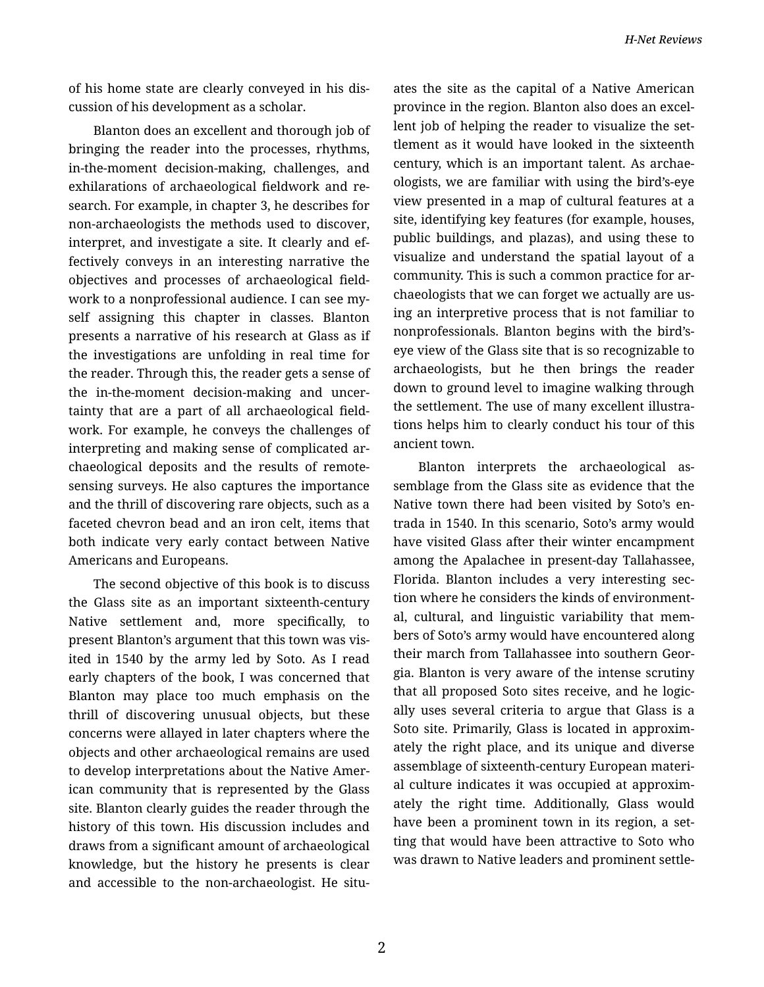of his home state are clearly conveyed in his dis‐ cussion of his development as a scholar.

Blanton does an excellent and thorough job of bringing the reader into the processes, rhythms, in-the-moment decision-making, challenges, and exhilarations of archaeological fieldwork and re‐ search. For example, in chapter 3, he describes for non-archaeologists the methods used to discover, interpret, and investigate a site. It clearly and ef‐ fectively conveys in an interesting narrative the objectives and processes of archaeological field‐ work to a nonprofessional audience. I can see my‐ self assigning this chapter in classes. Blanton presents a narrative of his research at Glass as if the investigations are unfolding in real time for the reader. Through this, the reader gets a sense of the in-the-moment decision-making and uncer‐ tainty that are a part of all archaeological field‐ work. For example, he conveys the challenges of interpreting and making sense of complicated ar‐ chaeological deposits and the results of remotesensing surveys. He also captures the importance and the thrill of discovering rare objects, such as a faceted chevron bead and an iron celt, items that both indicate very early contact between Native Americans and Europeans.

The second objective of this book is to discuss the Glass site as an important sixteenth-century Native settlement and, more specifically, to present Blanton's argument that this town was vis‐ ited in 1540 by the army led by Soto. As I read early chapters of the book, I was concerned that Blanton may place too much emphasis on the thrill of discovering unusual objects, but these concerns were allayed in later chapters where the objects and other archaeological remains are used to develop interpretations about the Native Amer‐ ican community that is represented by the Glass site. Blanton clearly guides the reader through the history of this town. His discussion includes and draws from a significant amount of archaeological knowledge, but the history he presents is clear and accessible to the non-archaeologist. He situates the site as the capital of a Native American province in the region. Blanton also does an excel‐ lent job of helping the reader to visualize the settlement as it would have looked in the sixteenth century, which is an important talent. As archae‐ ologists, we are familiar with using the bird's-eye view presented in a map of cultural features at a site, identifying key features (for example, houses, public buildings, and plazas), and using these to visualize and understand the spatial layout of a community. This is such a common practice for ar‐ chaeologists that we can forget we actually are us‐ ing an interpretive process that is not familiar to nonprofessionals. Blanton begins with the bird'seye view of the Glass site that is so recognizable to archaeologists, but he then brings the reader down to ground level to imagine walking through the settlement. The use of many excellent illustra‐ tions helps him to clearly conduct his tour of this ancient town.

Blanton interprets the archaeological as‐ semblage from the Glass site as evidence that the Native town there had been visited by Soto's en‐ trada in 1540. In this scenario, Soto's army would have visited Glass after their winter encampment among the Apalachee in present-day Tallahassee, Florida. Blanton includes a very interesting sec‐ tion where he considers the kinds of environment‐ al, cultural, and linguistic variability that mem‐ bers of Soto's army would have encountered along their march from Tallahassee into southern Geor‐ gia. Blanton is very aware of the intense scrutiny that all proposed Soto sites receive, and he logic‐ ally uses several criteria to argue that Glass is a Soto site. Primarily, Glass is located in approxim‐ ately the right place, and its unique and diverse assemblage of sixteenth-century European materi‐ al culture indicates it was occupied at approxim‐ ately the right time. Additionally, Glass would have been a prominent town in its region, a set‐ ting that would have been attractive to Soto who was drawn to Native leaders and prominent settle‐

2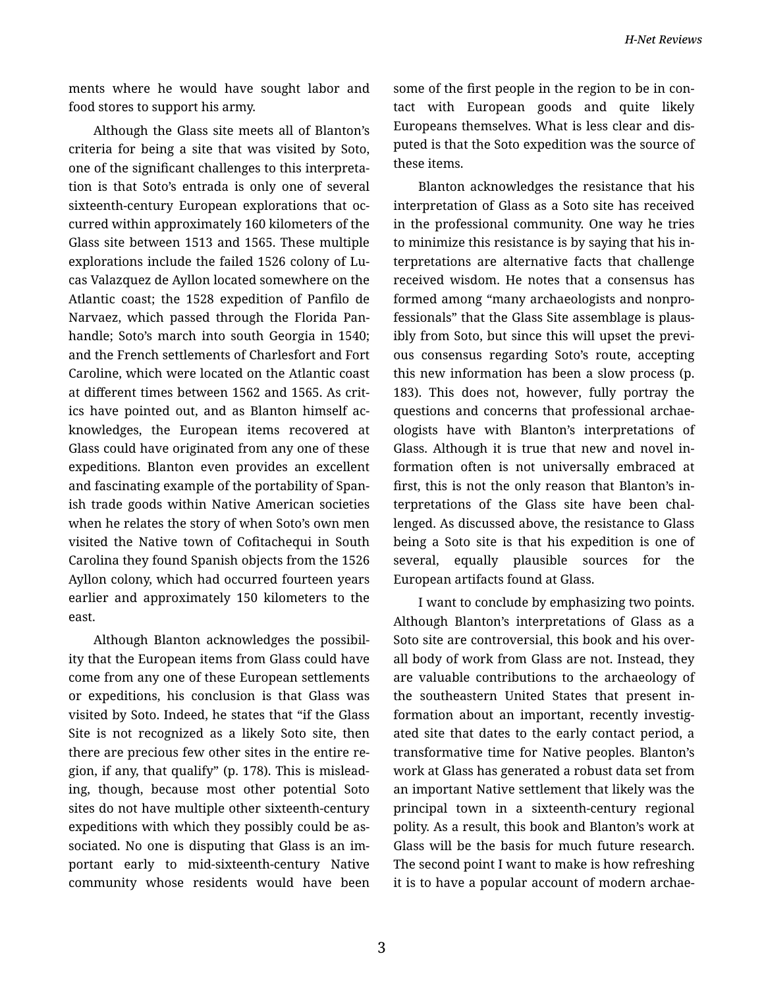ments where he would have sought labor and food stores to support his army.

Although the Glass site meets all of Blanton's criteria for being a site that was visited by Soto, one of the significant challenges to this interpreta‐ tion is that Soto's entrada is only one of several sixteenth-century European explorations that oc‐ curred within approximately 160 kilometers of the Glass site between 1513 and 1565. These multiple explorations include the failed 1526 colony of Lu‐ cas Valazquez de Ayllon located somewhere on the Atlantic coast; the 1528 expedition of Panfilo de Narvaez, which passed through the Florida Pan‐ handle; Soto's march into south Georgia in 1540; and the French settlements of Charlesfort and Fort Caroline, which were located on the Atlantic coast at different times between 1562 and 1565. As crit‐ ics have pointed out, and as Blanton himself ac‐ knowledges, the European items recovered at Glass could have originated from any one of these expeditions. Blanton even provides an excellent and fascinating example of the portability of Span‐ ish trade goods within Native American societies when he relates the story of when Soto's own men visited the Native town of Cofitachequi in South Carolina they found Spanish objects from the 1526 Ayllon colony, which had occurred fourteen years earlier and approximately 150 kilometers to the east.

Although Blanton acknowledges the possibil‐ ity that the European items from Glass could have come from any one of these European settlements or expeditions, his conclusion is that Glass was visited by Soto. Indeed, he states that "if the Glass Site is not recognized as a likely Soto site, then there are precious few other sites in the entire re‐ gion, if any, that qualify" (p. 178). This is mislead‐ ing, though, because most other potential Soto sites do not have multiple other sixteenth-century expeditions with which they possibly could be as‐ sociated. No one is disputing that Glass is an im‐ portant early to mid-sixteenth-century Native community whose residents would have been some of the first people in the region to be in contact with European goods and quite likely Europeans themselves. What is less clear and dis‐ puted is that the Soto expedition was the source of these items.

Blanton acknowledges the resistance that his interpretation of Glass as a Soto site has received in the professional community. One way he tries to minimize this resistance is by saying that his in‐ terpretations are alternative facts that challenge received wisdom. He notes that a consensus has formed among "many archaeologists and nonpro‐ fessionals" that the Glass Site assemblage is plaus‐ ibly from Soto, but since this will upset the previ‐ ous consensus regarding Soto's route, accepting this new information has been a slow process (p. 183). This does not, however, fully portray the questions and concerns that professional archae‐ ologists have with Blanton's interpretations of Glass. Although it is true that new and novel in‐ formation often is not universally embraced at first, this is not the only reason that Blanton's in‐ terpretations of the Glass site have been chal‐ lenged. As discussed above, the resistance to Glass being a Soto site is that his expedition is one of several, equally plausible sources for the European artifacts found at Glass.

I want to conclude by emphasizing two points. Although Blanton's interpretations of Glass as a Soto site are controversial, this book and his over‐ all body of work from Glass are not. Instead, they are valuable contributions to the archaeology of the southeastern United States that present in‐ formation about an important, recently investig‐ ated site that dates to the early contact period, a transformative time for Native peoples. Blanton's work at Glass has generated a robust data set from an important Native settlement that likely was the principal town in a sixteenth-century regional polity. As a result, this book and Blanton's work at Glass will be the basis for much future research. The second point I want to make is how refreshing it is to have a popular account of modern archae‐